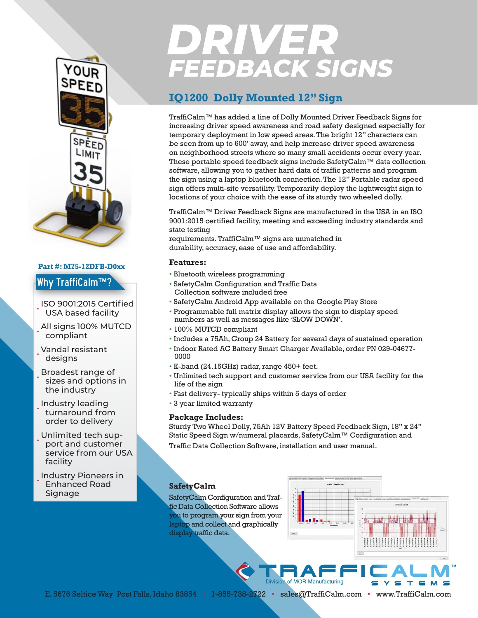

### **Part #: M75-12DFB-D0xx**

### Why TraffiCalm™?

• ISO 9001:2015 Certified USA based facility

• All signs 100% MUTCD compliant

• Vandal resistant designs

• Broadest range of sizes and options in the industry

• Industry leading turnaround from order to delivery

• Unlimited tech support and customer service from our USA facility

• Industry Pioneers in Enhanced Road Signage

# **DRIVER<br>FEEDBACK SIGNS**

## **IQ1200 Dolly Mounted 12" Sign**

TraffiCalm™ has added a line of Dolly Mounted Driver Feedback Signs for increasing driver speed awareness and road safety designed especially for temporary deployment in low speed areas. The bright 12" characters can be seen from up to 600' away, and help increase driver speed awareness on neighborhood streets where so many small accidents occur every year. These portable speed feedback signs include SafetyCalm™ data collection software, allowing you to gather hard data of traffic patterns and program the sign using a laptop bluetooth connection. The 12" Portable radar speed sign offers multi-site versatility. Temporarily deploy the lightweight sign to locations of your choice with the ease of its sturdy two wheeled dolly.

TraffiCalm™ Driver Feedback Signs are manufactured in the USA in an ISO 9001:2015 certified facility, meeting and exceeding industry standards and state testing

requirements. TraffiCalm™ signs are unmatched in durability, accuracy, ease of use and affordability.

### **Features:**

- Bluetooth wireless programming
- SafetyCalm Configuration and Traffic Data Collection software included free
- SafetyCalm Android App available on the Google Play Store
- Programmable full matrix display allows the sign to display speed numbers as well as messages like 'SLOW DOWN'.
- 100% MUTCD compliant
- Includes a 75Ah, Group 24 Battery for several days of sustained operation
- Indoor Rated AC Battery Smart Charger Available, order PN 029-04677- 0000
- K-band (24.15GHz) radar, range 450+ feet.
- Unlimited tech support and customer service from our USA facility for the life of the sign
- Fast delivery- typically ships within 5 days of order
- 3 year limited warranty

### **Package Includes:**

Sturdy Two Wheel Dolly, 75Ah 12V Battery Speed Feedback Sign, 18" x 24" Static Speed Sign w/numeral placards, SafetyCalm™ Configuration and

**Division of MOR Manufacturing** 

Traffic Data Collection Software, installation and user manual.

### **SafetyCalm**

SafetyCalm Configuration and Traffic Data Collection Software allows you to program your sign from your laptop and collect and graphically display traffic data.